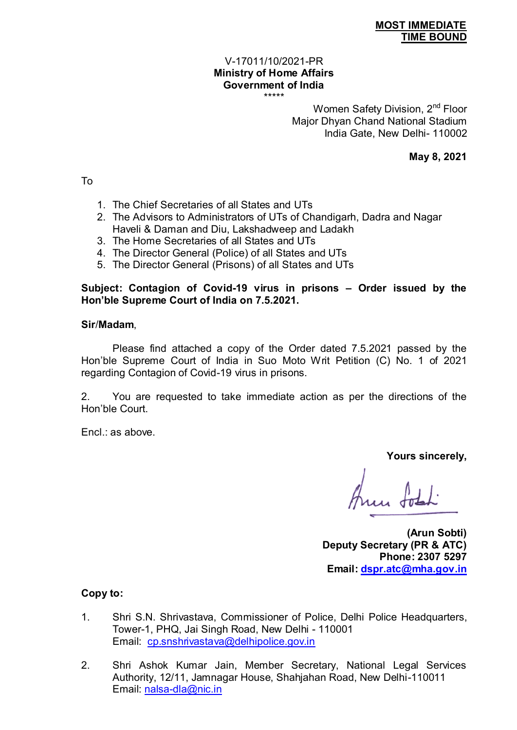### **MOST IMMEDIATE TIME BOUND**

#### V-17011/10/2021-PR **Ministry of Home Affairs Government of India**  \*\*\*\*\*

Women Safety Division, 2<sup>nd</sup> Floor Major Dhyan Chand National Stadium India Gate, New Delhi- 110002

**May 8, 2021** 

To

- 1. The Chief Secretaries of all States and UTs
- 2. The Advisors to Administrators of UTs of Chandigarh, Dadra and Nagar Haveli & Daman and Diu, Lakshadweep and Ladakh
- 3. The Home Secretaries of all States and UTs
- 4. The Director General (Police) of all States and UTs
- 5. The Director General (Prisons) of all States and UTs

# **Subject: Contagion of Covid-19 virus in prisons – Order issued by the Hon'ble Supreme Court of India on 7.5.2021.**

## **Sir**/**Madam**,

 Please find attached a copy of the Order dated 7.5.2021 passed by the Hon'ble Supreme Court of India in Suo Moto Writ Petition (C) No. 1 of 2021 regarding Contagion of Covid-19 virus in prisons.

2. You are requested to take immediate action as per the directions of the Hon'ble Court.

Encl.: as above.

**Yours sincerely,** 

**(Arun Sobti) Deputy Secretary (PR & ATC) Phone: 2307 5297 Email: [dspr.atc@mha.gov.in](mailto:dspr.atc@mha.gov.in)** 

**Copy to:** 

- 1. Shri S.N. Shrivastava, Commissioner of Police, Delhi Police Headquarters, Tower-1, PHQ, Jai Singh Road, New Delhi - 110001 Email: [cp.snshrivastava@delhipolice.gov.in](mailto:cp.snshrivastava@delhipolice.gov.in)
- 2. Shri Ashok Kumar Jain, Member Secretary, National Legal Services Authority, 12/11, Jamnagar House, Shahjahan Road, New Delhi-110011 Email: [nalsa-dla@nic.in](mailto:nalsa-dla@nic.in)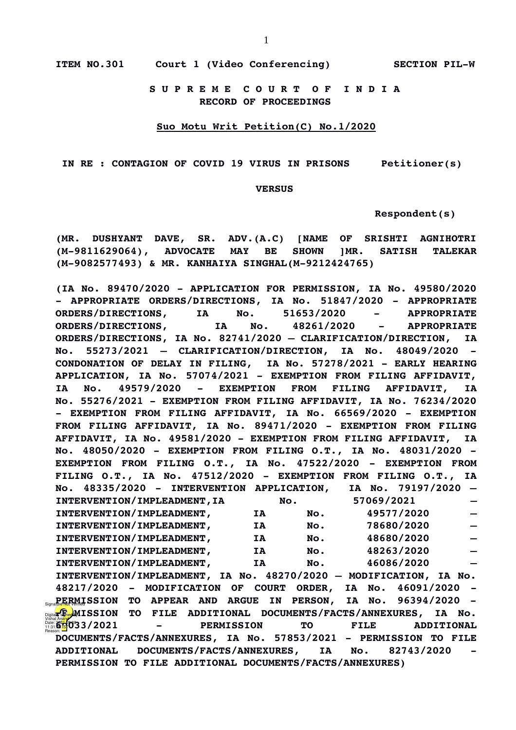**S U P R E M E C O U R T O F I N D I A RECORD OF PROCEEDINGS**

#### **Suo Motu Writ Petition(C) No.1/2020**

 **IN RE : CONTAGION OF COVID 19 VIRUS IN PRISONS Petitioner(s)**

#### **VERSUS**

 **Respondent(s)**

**(MR. DUSHYANT DAVE, SR. ADV.(A.C) [NAME OF SRISHTI AGNIHOTRI (M-9811629064), ADVOCATE MAY BE SHOWN ]MR. SATISH TALEKAR (M-9082577493) & MR. KANHAIYA SINGHAL(M-9212424765)**

**(IA No. 89470/2020 - APPLICATION FOR PERMISSION, IA No. 49580/2020 - APPROPRIATE ORDERS/DIRECTIONS, IA No. 51847/2020 - APPROPRIATE ORDERS/DIRECTIONS, IA No. 51653/2020 - APPROPRIATE ORDERS/DIRECTIONS, IA No. 48261/2020 - APPROPRIATE ORDERS/DIRECTIONS, IA No. 82741/2020 – CLARIFICATION/DIRECTION, IA No. 55273/2021 – CLARIFICATION/DIRECTION, IA No. 48049/2020 - CONDONATION OF DELAY IN FILING, IA No. 57278/2021 - EARLY HEARING APPLICATION, IA No. 57074/2021 - EXEMPTION FROM FILING AFFIDAVIT, IA No. 49579/2020 - EXEMPTION FROM FILING AFFIDAVIT, IA No. 55276/2021 - EXEMPTION FROM FILING AFFIDAVIT, IA No. 76234/2020 - EXEMPTION FROM FILING AFFIDAVIT, IA No. 66569/2020 - EXEMPTION FROM FILING AFFIDAVIT, IA No. 89471/2020 - EXEMPTION FROM FILING AFFIDAVIT, IA No. 49581/2020 - EXEMPTION FROM FILING AFFIDAVIT, IA No. 48050/2020 - EXEMPTION FROM FILING O.T., IA No. 48031/2020 - EXEMPTION FROM FILING O.T., IA No. 47522/2020 - EXEMPTION FROM FILING O.T., IA No. 47512/2020 - EXEMPTION FROM FILING O.T., IA No. 48335/2020 - INTERVENTION APPLICATION, IA No. 79197/2020 – INTERVENTION/IMPLEADMENT,IA No. 57069/2021 – INTERVENTION/IMPLEADMENT, IA No. 49577/2020 –** INTERVENTION/IMPLEADMENT, IA No. 78680/2020 **INTERVENTION/IMPLEADMENT, IA No. 48680/2020 – INTERVENTION/IMPLEADMENT, IA No. 48263/2020 – INTERVENTION/IMPLEADMENT, IA No. 46086/2020 – INTERVENTION/IMPLEADMENT, IA No. 48270/2020 – MODIFICATION, IA No. 48217/2020 - MODIFICATION OF COURT ORDER, IA No. 46091/2020 - Signa<mark>ture</mark> RMISSION TO APPEAR AND ARGUE IN PERSON, IA No. 96394/2020 -Post of Parmicle Control Control ADDITIONAL** DOCUMENTS/FACTS/ANNEXURES, IA No. **60033/2021 - PERMISSION TO FILE ADDITIONAL DOCUMENTS/FACTS/ANNEXURES, IA No. 57853/2021 - PERMISSION TO FILE ADDITIONAL DOCUMENTS/FACTS/ANNEXURES, IA No. 82743/2020 - PERMISSION TO FILE ADDITIONAL DOCUMENTS/FACTS/ANNEXURES)** Vishal An<mark>and</mark><br>Date: 2021.05.08<br>Reason: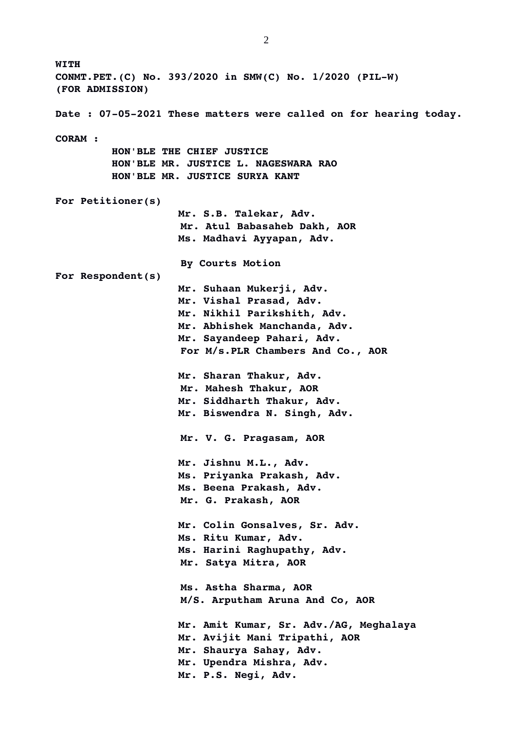**WITH CONMT.PET.(C) No. 393/2020 in SMW(C) No. 1/2020 (PIL-W) (FOR ADMISSION) Date : 07-05-2021 These matters were called on for hearing today. CORAM : HON'BLE THE CHIEF JUSTICE HON'BLE MR. JUSTICE L. NAGESWARA RAO HON'BLE MR. JUSTICE SURYA KANT For Petitioner(s) Mr. S.B. Talekar, Adv. Mr. Atul Babasaheb Dakh, AOR Ms. Madhavi Ayyapan, Adv. By Courts Motion For Respondent(s) Mr. Suhaan Mukerji, Adv. Mr. Vishal Prasad, Adv. Mr. Nikhil Parikshith, Adv. Mr. Abhishek Manchanda, Adv. Mr. Sayandeep Pahari, Adv. For M/s.PLR Chambers And Co., AOR Mr. Sharan Thakur, Adv. Mr. Mahesh Thakur, AOR Mr. Siddharth Thakur, Adv. Mr. Biswendra N. Singh, Adv. Mr. V. G. Pragasam, AOR Mr. Jishnu M.L., Adv. Ms. Priyanka Prakash, Adv. Ms. Beena Prakash, Adv. Mr. G. Prakash, AOR Mr. Colin Gonsalves, Sr. Adv. Ms. Ritu Kumar, Adv. Ms. Harini Raghupathy, Adv. Mr. Satya Mitra, AOR Ms. Astha Sharma, AOR M/S. Arputham Aruna And Co, AOR Mr. Amit Kumar, Sr. Adv./AG, Meghalaya Mr. Avijit Mani Tripathi, AOR Mr. Shaurya Sahay, Adv. Mr. Upendra Mishra, Adv. Mr. P.S. Negi, Adv.**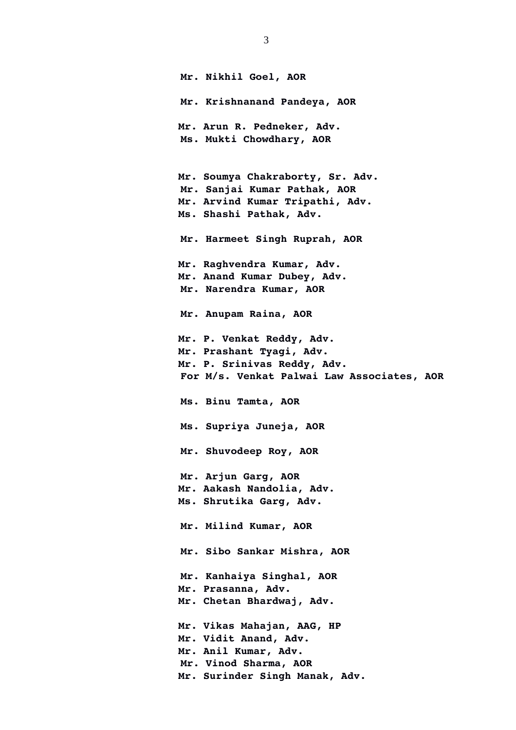**Mr. Nikhil Goel, AOR Mr. Krishnanand Pandeya, AOR Mr. Arun R. Pedneker, Adv. Ms. Mukti Chowdhary, AOR Mr. Soumya Chakraborty, Sr. Adv. Mr. Sanjai Kumar Pathak, AOR Mr. Arvind Kumar Tripathi, Adv. Ms. Shashi Pathak, Adv. Mr. Harmeet Singh Ruprah, AOR Mr. Raghvendra Kumar, Adv. Mr. Anand Kumar Dubey, Adv. Mr. Narendra Kumar, AOR Mr. Anupam Raina, AOR Mr. P. Venkat Reddy, Adv. Mr. Prashant Tyagi, Adv. Mr. P. Srinivas Reddy, Adv. For M/s. Venkat Palwai Law Associates, AOR Ms. Binu Tamta, AOR Ms. Supriya Juneja, AOR Mr. Shuvodeep Roy, AOR Mr. Arjun Garg, AOR Mr. Aakash Nandolia, Adv. Ms. Shrutika Garg, Adv. Mr. Milind Kumar, AOR Mr. Sibo Sankar Mishra, AOR Mr. Kanhaiya Singhal, AOR Mr. Prasanna, Adv. Mr. Chetan Bhardwaj, Adv. Mr. Vikas Mahajan, AAG, HP Mr. Vidit Anand, Adv. Mr. Anil Kumar, Adv. Mr. Vinod Sharma, AOR Mr. Surinder Singh Manak, Adv.**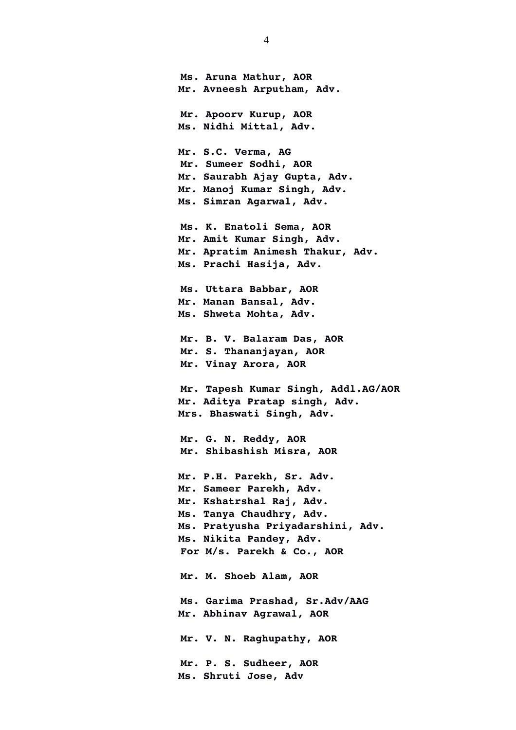**Ms. Aruna Mathur, AOR Mr. Avneesh Arputham, Adv. Mr. Apoorv Kurup, AOR Ms. Nidhi Mittal, Adv. Mr. S.C. Verma, AG Mr. Sumeer Sodhi, AOR Mr. Saurabh Ajay Gupta, Adv. Mr. Manoj Kumar Singh, Adv. Ms. Simran Agarwal, Adv. Ms. K. Enatoli Sema, AOR Mr. Amit Kumar Singh, Adv. Mr. Apratim Animesh Thakur, Adv. Ms. Prachi Hasija, Adv. Ms. Uttara Babbar, AOR Mr. Manan Bansal, Adv. Ms. Shweta Mohta, Adv. Mr. B. V. Balaram Das, AOR Mr. S. Thananjayan, AOR Mr. Vinay Arora, AOR Mr. Tapesh Kumar Singh, Addl.AG/AOR Mr. Aditya Pratap singh, Adv. Mrs. Bhaswati Singh, Adv. Mr. G. N. Reddy, AOR Mr. Shibashish Misra, AOR Mr. P.H. Parekh, Sr. Adv. Mr. Sameer Parekh, Adv. Mr. Kshatrshal Raj, Adv. Ms. Tanya Chaudhry, Adv. Ms. Pratyusha Priyadarshini, Adv. Ms. Nikita Pandey, Adv. For M/s. Parekh & Co., AOR Mr. M. Shoeb Alam, AOR Ms. Garima Prashad, Sr.Adv/AAG Mr. Abhinav Agrawal, AOR Mr. V. N. Raghupathy, AOR Mr. P. S. Sudheer, AOR Ms. Shruti Jose, Adv**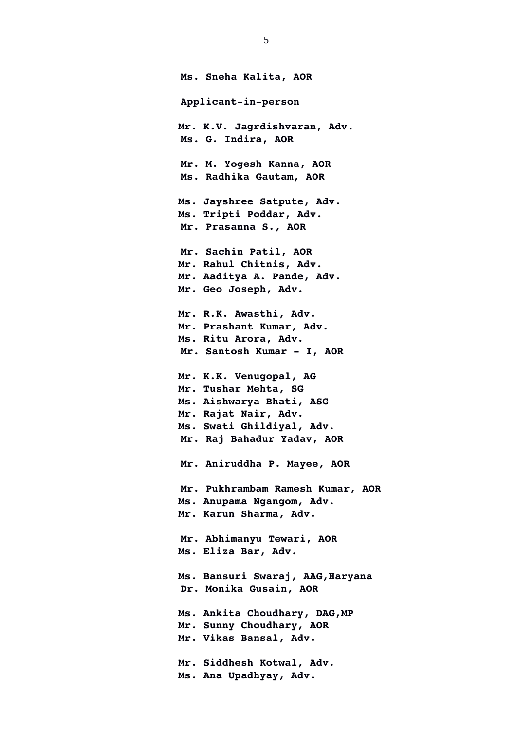**Ms. Sneha Kalita, AOR Applicant-in-person Mr. K.V. Jagrdishvaran, Adv. Ms. G. Indira, AOR Mr. M. Yogesh Kanna, AOR Ms. Radhika Gautam, AOR Ms. Jayshree Satpute, Adv. Ms. Tripti Poddar, Adv. Mr. Prasanna S., AOR Mr. Sachin Patil, AOR Mr. Rahul Chitnis, Adv. Mr. Aaditya A. Pande, Adv. Mr. Geo Joseph, Adv. Mr. R.K. Awasthi, Adv. Mr. Prashant Kumar, Adv. Ms. Ritu Arora, Adv. Mr. Santosh Kumar - I, AOR Mr. K.K. Venugopal, AG Mr. Tushar Mehta, SG Ms. Aishwarya Bhati, ASG Mr. Rajat Nair, Adv. Ms. Swati Ghildiyal, Adv. Mr. Raj Bahadur Yadav, AOR Mr. Aniruddha P. Mayee, AOR Mr. Pukhrambam Ramesh Kumar, AOR Ms. Anupama Ngangom, Adv. Mr. Karun Sharma, Adv. Mr. Abhimanyu Tewari, AOR Ms. Eliza Bar, Adv. Ms. Bansuri Swaraj, AAG,Haryana Dr. Monika Gusain, AOR Ms. Ankita Choudhary, DAG,MP Mr. Sunny Choudhary, AOR Mr. Vikas Bansal, Adv. Mr. Siddhesh Kotwal, Adv. Ms. Ana Upadhyay, Adv.**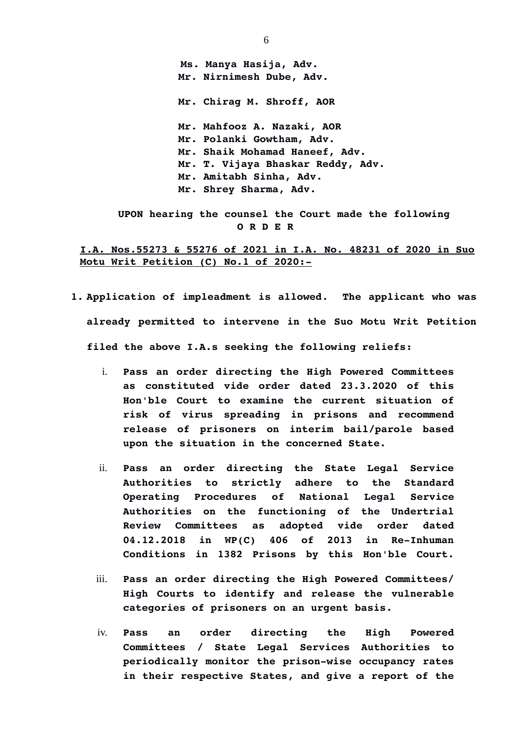**Ms. Manya Hasija, Adv. Mr. Nirnimesh Dube, Adv. Mr. Chirag M. Shroff, AOR Mr. Mahfooz A. Nazaki, AOR Mr. Polanki Gowtham, Adv. Mr. Shaik Mohamad Haneef, Adv. Mr. T. Vijaya Bhaskar Reddy, Adv. Mr. Amitabh Sinha, Adv. Mr. Shrey Sharma, Adv.**

 **UPON hearing the counsel the Court made the following O R D E R**

**I.A. Nos.55273 & 55276 of 2021 in I.A. No. 48231 of 2020 in Suo Motu Writ Petition (C) No.1 of 2020:-**

- **1. Application of impleadment is allowed. The applicant who was already permitted to intervene in the Suo Motu Writ Petition filed the above I.A.s seeking the following reliefs:**
	- i. **Pass an order directing the High Powered Committees as constituted vide order dated 23.3.2020 of this Hon'ble Court to examine the current situation of risk of virus spreading in prisons and recommend release of prisoners on interim bail/parole based upon the situation in the concerned State.**
	- ii. **Pass an order directing the State Legal Service Authorities to strictly adhere to the Standard Operating Procedures of National Legal Service Authorities on the functioning of the Undertrial Review Committees as adopted vide order dated 04.12.2018 in WP(C) 406 of 2013 in Re-Inhuman Conditions in 1382 Prisons by this Hon'ble Court.**
	- iii. **Pass an order directing the High Powered Committees/ High Courts to identify and release the vulnerable categories of prisoners on an urgent basis.**
	- iv. **Pass an order directing the High Powered Committees / State Legal Services Authorities to periodically monitor the prison-wise occupancy rates in their respective States, and give a report of the**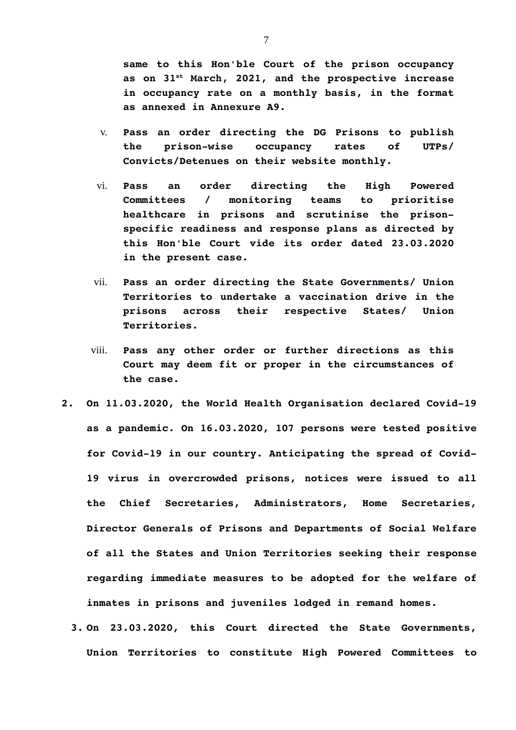**same to this Hon'ble Court of the prison occupancy as on 31st March, 2021, and the prospective increase in occupancy rate on a monthly basis, in the format as annexed in Annexure A9.**

- v. **Pass an order directing the DG Prisons to publish the prison-wise occupancy rates of UTPs/ Convicts/Detenues on their website monthly.**
- vi. **Pass an order directing the High Powered Committees / monitoring teams to prioritise healthcare in prisons and scrutinise the prisonspecific readiness and response plans as directed by this Hon'ble Court vide its order dated 23.03.2020 in the present case.**
- vii. **Pass an order directing the State Governments/ Union Territories to undertake a vaccination drive in the prisons across their respective States/ Union Territories.**
- viii. **Pass any other order or further directions as this Court may deem fit or proper in the circumstances of the case.**
- **2. On 11.03.2020, the World Health Organisation declared Covid-19 as a pandemic. On 16.03.2020, 107 persons were tested positive for Covid-19 in our country. Anticipating the spread of Covid-19 virus in overcrowded prisons, notices were issued to all the Chief Secretaries, Administrators, Home Secretaries, Director Generals of Prisons and Departments of Social Welfare of all the States and Union Territories seeking their response regarding immediate measures to be adopted for the welfare of inmates in prisons and juveniles lodged in remand homes.** 
	- **3. On 23.03.2020, this Court directed the State Governments, Union Territories to constitute High Powered Committees to**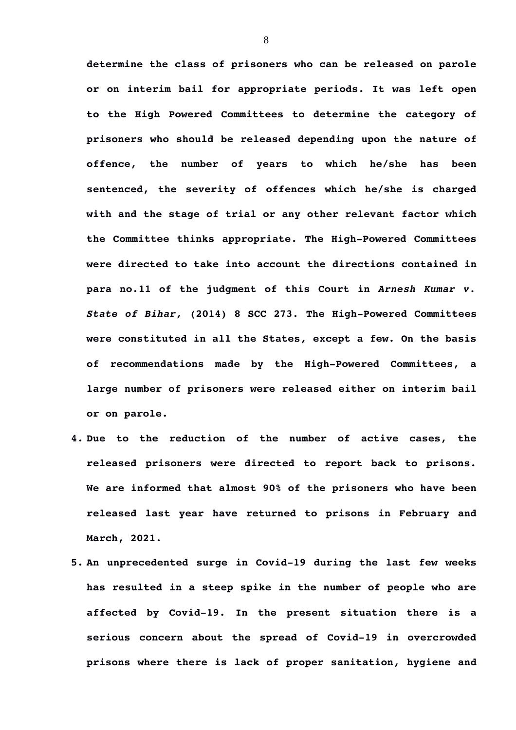**determine the class of prisoners who can be released on parole or on interim bail for appropriate periods. It was left open to the High Powered Committees to determine the category of prisoners who should be released depending upon the nature of offence, the number of years to which he/she has been sentenced, the severity of offences which he/she is charged with and the stage of trial or any other relevant factor which the Committee thinks appropriate. The High-Powered Committees were directed to take into account the directions contained in para no.11 of the judgment of this Court in** *Arnesh Kumar v. State of Bihar,* **(2014) 8 SCC 273***.* **The High-Powered Committees were constituted in all the States, except a few. On the basis of recommendations made by the High-Powered Committees, a large number of prisoners were released either on interim bail or on parole.** 

- **4. Due to the reduction of the number of active cases, the released prisoners were directed to report back to prisons. We are informed that almost 90% of the prisoners who have been released last year have returned to prisons in February and March, 2021.**
- **5. An unprecedented surge in Covid-19 during the last few weeks has resulted in a steep spike in the number of people who are affected by Covid-19. In the present situation there is a serious concern about the spread of Covid-19 in overcrowded prisons where there is lack of proper sanitation, hygiene and**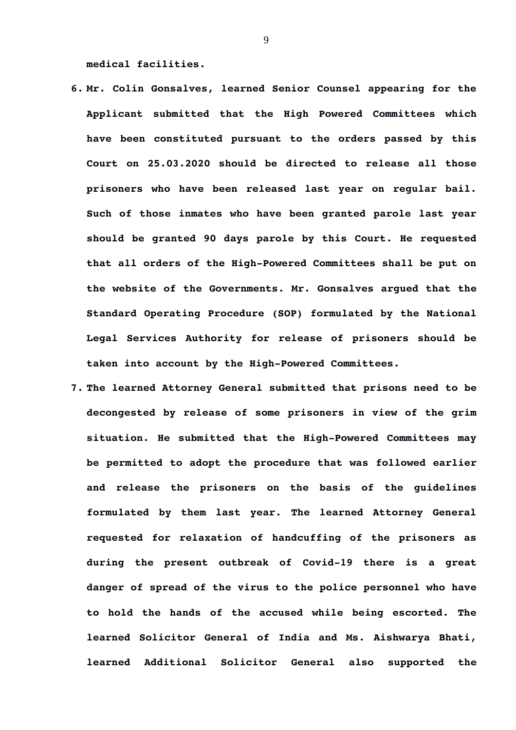**medical facilities.**

- **6. Mr. Colin Gonsalves, learned Senior Counsel appearing for the Applicant submitted that the High Powered Committees which have been constituted pursuant to the orders passed by this Court on 25.03.2020 should be directed to release all those prisoners who have been released last year on regular bail. Such of those inmates who have been granted parole last year should be granted 90 days parole by this Court. He requested that all orders of the High-Powered Committees shall be put on the website of the Governments. Mr. Gonsalves argued that the Standard Operating Procedure (SOP) formulated by the National Legal Services Authority for release of prisoners should be taken into account by the High-Powered Committees.**
- **7. The learned Attorney General submitted that prisons need to be decongested by release of some prisoners in view of the grim situation. He submitted that the High-Powered Committees may be permitted to adopt the procedure that was followed earlier and release the prisoners on the basis of the guidelines formulated by them last year. The learned Attorney General requested for relaxation of handcuffing of the prisoners as during the present outbreak of Covid-19 there is a great danger of spread of the virus to the police personnel who have to hold the hands of the accused while being escorted. The learned Solicitor General of India and Ms. Aishwarya Bhati, learned Additional Solicitor General also supported the**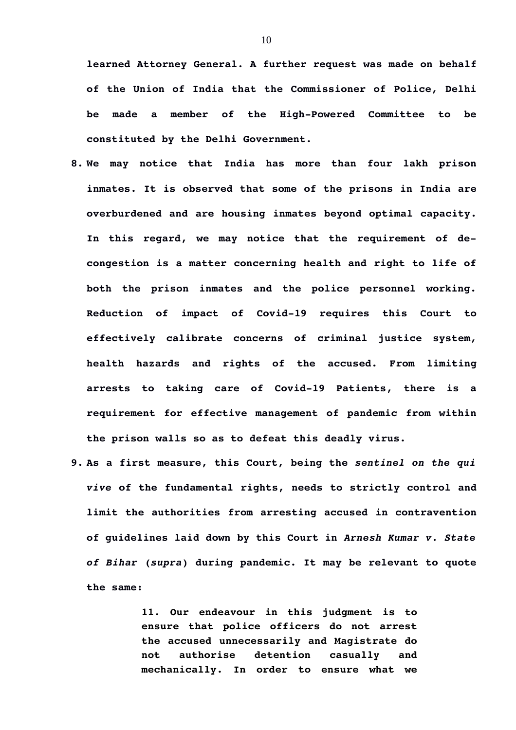**learned Attorney General. A further request was made on behalf of the Union of India that the Commissioner of Police, Delhi be made a member of the High-Powered Committee to be constituted by the Delhi Government.**

- **8. We may notice that India has more than four lakh prison inmates. It is observed that some of the prisons in India are overburdened and are housing inmates beyond optimal capacity. In this regard, we may notice that the requirement of decongestion is a matter concerning health and right to life of both the prison inmates and the police personnel working. Reduction of impact of Covid-19 requires this Court to effectively calibrate concerns of criminal justice system, health hazards and rights of the accused. From limiting arrests to taking care of Covid-19 Patients, there is a requirement for effective management of pandemic from within the prison walls so as to defeat this deadly virus.**
- **9. As a first measure, this Court, being the** *sentinel on the qui vive* **of the fundamental rights, needs to strictly control and limit the authorities from arresting accused in contravention of guidelines laid down by this Court in** *Arnesh Kumar v. State of Bihar* **(***supra***) during pandemic. It may be relevant to quote the same:**

**11. Our endeavour in this judgment is to ensure that police officers do not arrest the accused unnecessarily and Magistrate do not authorise detention casually and mechanically. In order to ensure what we**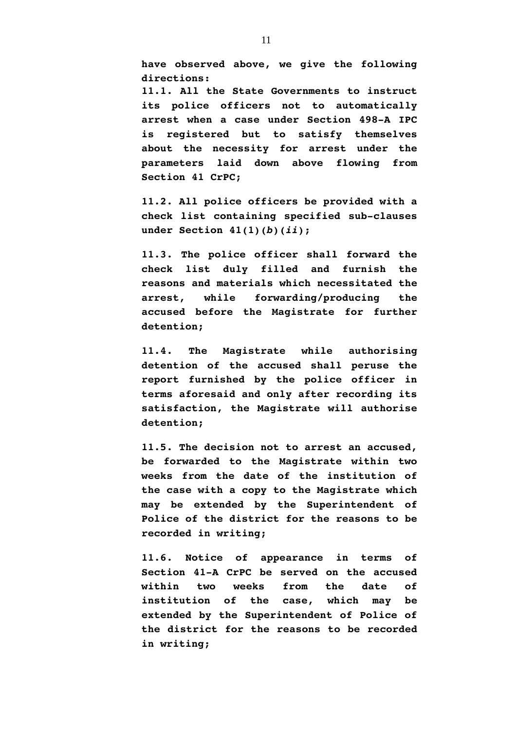**have observed above, we give the following directions:**

**11.1. All the State Governments to instruct its police officers not to automatically arrest when a case under Section 498-A IPC is registered but to satisfy themselves about the necessity for arrest under the parameters laid down above flowing from Section 41 CrPC;**

**11.2. All police officers be provided with a check list containing specified sub-clauses under Section 41(1)(***b***)(***ii***);**

**11.3. The police officer shall forward the check list duly filled and furnish the reasons and materials which necessitated the arrest, while forwarding/producing the accused before the Magistrate for further detention;**

**11.4. The Magistrate while authorising detention of the accused shall peruse the report furnished by the police officer in terms aforesaid and only after recording its satisfaction, the Magistrate will authorise detention;**

**11.5. The decision not to arrest an accused, be forwarded to the Magistrate within two weeks from the date of the institution of the case with a copy to the Magistrate which may be extended by the Superintendent of Police of the district for the reasons to be recorded in writing;**

**11.6. Notice of appearance in terms of Section 41-A CrPC be served on the accused within two weeks from the date of institution of the case, which may be extended by the Superintendent of Police of the district for the reasons to be recorded in writing;**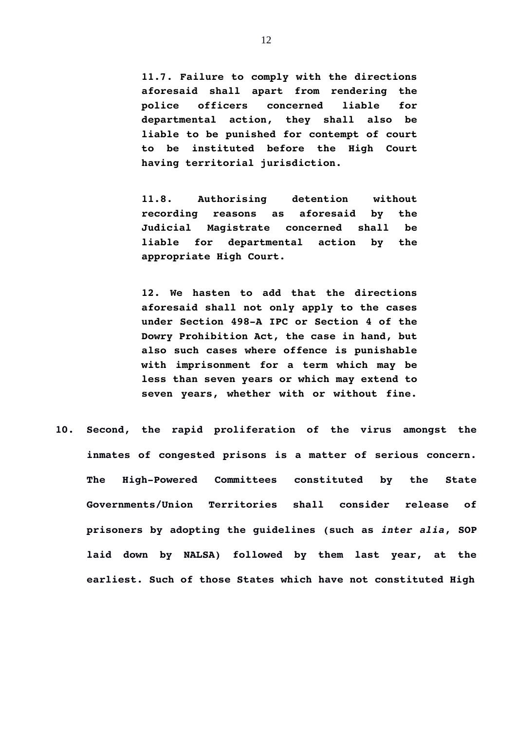**11.7. Failure to comply with the directions aforesaid shall apart from rendering the police officers concerned liable for departmental action, they shall also be liable to be punished for contempt of court to be instituted before the High Court having territorial jurisdiction.**

**11.8. Authorising detention without recording reasons as aforesaid by the Judicial Magistrate concerned shall be liable for departmental action by the appropriate High Court.**

**12. We hasten to add that the directions aforesaid shall not only apply to the cases under Section 498-A IPC or Section 4 of the Dowry Prohibition Act, the case in hand, but also such cases where offence is punishable with imprisonment for a term which may be less than seven years or which may extend to seven years, whether with or without fine.**

**10. Second, the rapid proliferation of the virus amongst the inmates of congested prisons is a matter of serious concern. The High-Powered Committees constituted by the State Governments/Union Territories shall consider release of prisoners by adopting the guidelines (such as** *inter alia***, SOP laid down by NALSA) followed by them last year, at the earliest. Such of those States which have not constituted High**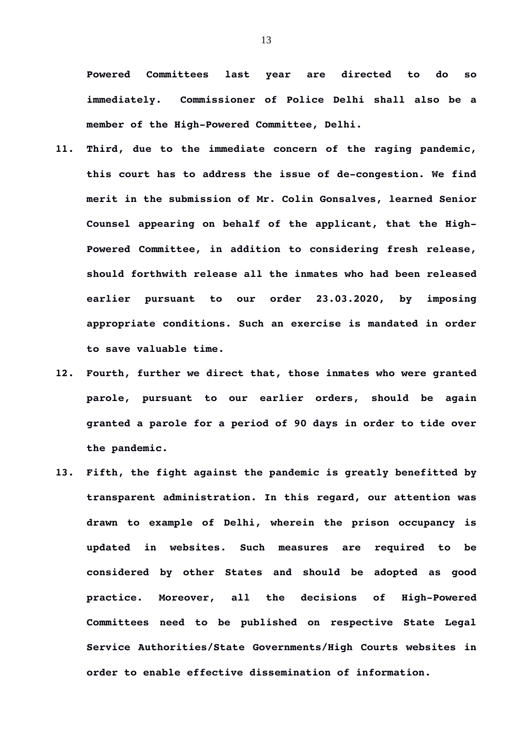**Powered Committees last year are directed to do so immediately. Commissioner of Police Delhi shall also be a member of the High-Powered Committee, Delhi.** 

- **11. Third, due to the immediate concern of the raging pandemic, this court has to address the issue of de-congestion. We find merit in the submission of Mr. Colin Gonsalves, learned Senior Counsel appearing on behalf of the applicant, that the High-Powered Committee, in addition to considering fresh release, should forthwith release all the inmates who had been released earlier pursuant to our order 23.03.2020, by imposing appropriate conditions. Such an exercise is mandated in order to save valuable time.**
- **12. Fourth, further we direct that, those inmates who were granted parole, pursuant to our earlier orders, should be again granted a parole for a period of 90 days in order to tide over the pandemic.**
- **13. Fifth, the fight against the pandemic is greatly benefitted by transparent administration. In this regard, our attention was drawn to example of Delhi, wherein the prison occupancy is updated in websites. Such measures are required to be considered by other States and should be adopted as good practice. Moreover, all the decisions of High-Powered Committees need to be published on respective State Legal Service Authorities/State Governments/High Courts websites in order to enable effective dissemination of information.**